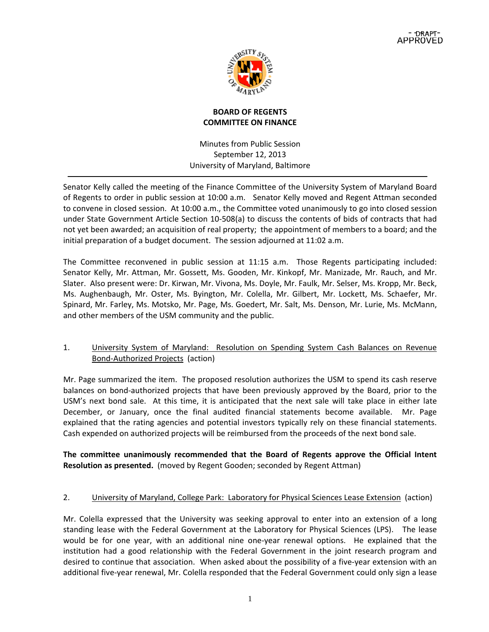

# **BOARD OF REGENTS COMMITTEE ON FINANCE**

Minutes from Public Session September 12, 2013 University of Maryland, Baltimore

Senator Kelly called the meeting of the Finance Committee of the University System of Maryland Board of Regents to order in public session at 10:00 a.m. Senator Kelly moved and Regent Attman seconded to convene in closed session. At 10:00 a.m., the Committee voted unanimously to go into closed session under State Government Article Section 10‐508(a) to discuss the contents of bids of contracts that had not yet been awarded; an acquisition of real property; the appointment of members to a board; and the initial preparation of a budget document. The session adjourned at 11:02 a.m.

The Committee reconvened in public session at 11:15 a.m. Those Regents participating included: Senator Kelly, Mr. Attman, Mr. Gossett, Ms. Gooden, Mr. Kinkopf, Mr. Manizade, Mr. Rauch, and Mr. Slater. Also present were: Dr. Kirwan, Mr. Vivona, Ms. Doyle, Mr. Faulk, Mr. Selser, Ms. Kropp, Mr. Beck, Ms. Aughenbaugh, Mr. Oster, Ms. Byington, Mr. Colella, Mr. Gilbert, Mr. Lockett, Ms. Schaefer, Mr. Spinard, Mr. Farley, Ms. Motsko, Mr. Page, Ms. Goedert, Mr. Salt, Ms. Denson, Mr. Lurie, Ms. McMann, and other members of the USM community and the public.

# 1. University System of Maryland: Resolution on Spending System Cash Balances on Revenue Bond‐Authorized Projects (action)

Mr. Page summarized the item. The proposed resolution authorizes the USM to spend its cash reserve balances on bond‐authorized projects that have been previously approved by the Board, prior to the USM's next bond sale. At this time, it is anticipated that the next sale will take place in either late December, or January, once the final audited financial statements become available. Mr. Page explained that the rating agencies and potential investors typically rely on these financial statements. Cash expended on authorized projects will be reimbursed from the proceeds of the next bond sale.

**The committee unanimously recommended that the Board of Regents approve the Official Intent Resolution as presented.** (moved by Regent Gooden; seconded by Regent Attman)

# 2. University of Maryland, College Park: Laboratory for Physical Sciences Lease Extension (action)

Mr. Colella expressed that the University was seeking approval to enter into an extension of a long standing lease with the Federal Government at the Laboratory for Physical Sciences (LPS). The lease would be for one year, with an additional nine one-year renewal options. He explained that the institution had a good relationship with the Federal Government in the joint research program and desired to continue that association. When asked about the possibility of a five‐year extension with an additional five‐year renewal, Mr. Colella responded that the Federal Government could only sign a lease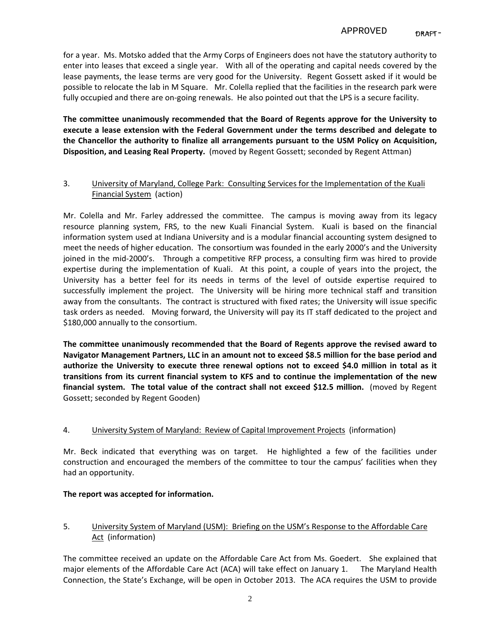for a year. Ms. Motsko added that the Army Corps of Engineers does not have the statutory authority to enter into leases that exceed a single year. With all of the operating and capital needs covered by the lease payments, the lease terms are very good for the University. Regent Gossett asked if it would be possible to relocate the lab in M Square. Mr. Colella replied that the facilities in the research park were fully occupied and there are on-going renewals. He also pointed out that the LPS is a secure facility.

**The committee unanimously recommended that the Board of Regents approve for the University to execute a lease extension with the Federal Government under the terms described and delegate to the Chancellor the authority to finalize all arrangements pursuant to the USM Policy on Acquisition, Disposition, and Leasing Real Property.** (moved by Regent Gossett; seconded by Regent Attman)

## 3. University of Maryland, College Park: Consulting Services for the Implementation of the Kuali Financial System (action)

Mr. Colella and Mr. Farley addressed the committee. The campus is moving away from its legacy resource planning system, FRS, to the new Kuali Financial System. Kuali is based on the financial information system used at Indiana University and is a modular financial accounting system designed to meet the needs of higher education. The consortium was founded in the early 2000's and the University joined in the mid‐2000's. Through a competitive RFP process, a consulting firm was hired to provide expertise during the implementation of Kuali. At this point, a couple of years into the project, the University has a better feel for its needs in terms of the level of outside expertise required to successfully implement the project. The University will be hiring more technical staff and transition away from the consultants. The contract is structured with fixed rates; the University will issue specific task orders as needed. Moving forward, the University will pay its IT staff dedicated to the project and \$180,000 annually to the consortium.

**The committee unanimously recommended that the Board of Regents approve the revised award to Navigator Management Partners, LLC in an amount not to exceed \$8.5 million for the base period and authorize the University to execute three renewal options not to exceed \$4.0 million in total as it transitions from its current financial system to KFS and to continue the implementation of the new financial system. The total value of the contract shall not exceed \$12.5 million.** (moved by Regent Gossett; seconded by Regent Gooden)

### 4. University System of Maryland: Review of Capital Improvement Projects (information)

Mr. Beck indicated that everything was on target. He highlighted a few of the facilities under construction and encouraged the members of the committee to tour the campus' facilities when they had an opportunity.

### **The report was accepted for information.**

# 5. University System of Maryland (USM): Briefing on the USM's Response to the Affordable Care Act (information)

The committee received an update on the Affordable Care Act from Ms. Goedert. She explained that major elements of the Affordable Care Act (ACA) will take effect on January 1. The Maryland Health Connection, the State's Exchange, will be open in October 2013. The ACA requires the USM to provide